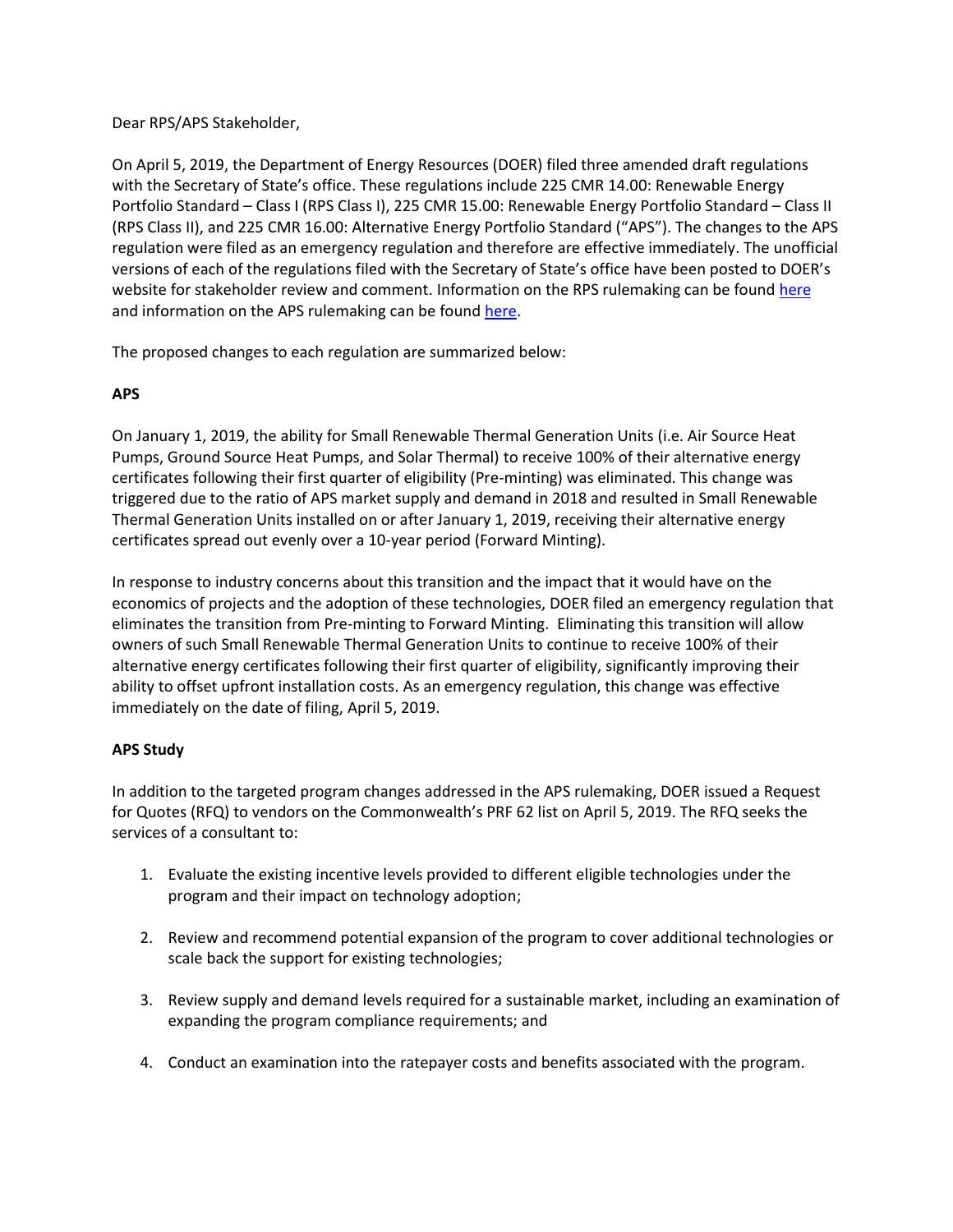## Dear RPS/APS Stakeholder,

On April 5, 2019, the Department of Energy Resources (DOER) filed three amended draft regulations with the Secretary of State's office. These regulations include 225 CMR 14.00: Renewable Energy Portfolio Standard – Class I (RPS Class I), 225 CMR 15.00: Renewable Energy Portfolio Standard – Class II (RPS Class II), and 225 CMR 16.00: Alternative Energy Portfolio Standard ("APS"). The changes to the APS regulation were filed as an emergency regulation and therefore are effective immediately. The unofficial versions of each of the regulations filed with the Secretary of State's office have been posted to DOER's website for stakeholder review and comment. Information on the RPS rulemaking can be foun[d here](https://www.mass.gov/service-details/rps-class-i-ii-rulemaking) and information on the APS rulemaking can be foun[d here.](https://www.mass.gov/service-details/aps-emergency-rulemaking)

The proposed changes to each regulation are summarized below:

# **APS**

On January 1, 2019, the ability for Small Renewable Thermal Generation Units (i.e. Air Source Heat Pumps, Ground Source Heat Pumps, and Solar Thermal) to receive 100% of their alternative energy certificates following their first quarter of eligibility (Pre-minting) was eliminated. This change was triggered due to the ratio of APS market supply and demand in 2018 and resulted in Small Renewable Thermal Generation Units installed on or after January 1, 2019, receiving their alternative energy certificates spread out evenly over a 10-year period (Forward Minting).

In response to industry concerns about this transition and the impact that it would have on the economics of projects and the adoption of these technologies, DOER filed an emergency regulation that eliminates the transition from Pre-minting to Forward Minting. Eliminating this transition will allow owners of such Small Renewable Thermal Generation Units to continue to receive 100% of their alternative energy certificates following their first quarter of eligibility, significantly improving their ability to offset upfront installation costs. As an emergency regulation, this change was effective immediately on the date of filing, April 5, 2019.

# **APS Study**

In addition to the targeted program changes addressed in the APS rulemaking, DOER issued a Request for Quotes (RFQ) to vendors on the Commonwealth's PRF 62 list on April 5, 2019. The RFQ seeks the services of a consultant to:

- 1. Evaluate the existing incentive levels provided to different eligible technologies under the program and their impact on technology adoption;
- 2. Review and recommend potential expansion of the program to cover additional technologies or scale back the support for existing technologies;
- 3. Review supply and demand levels required for a sustainable market, including an examination of expanding the program compliance requirements; and
- 4. Conduct an examination into the ratepayer costs and benefits associated with the program.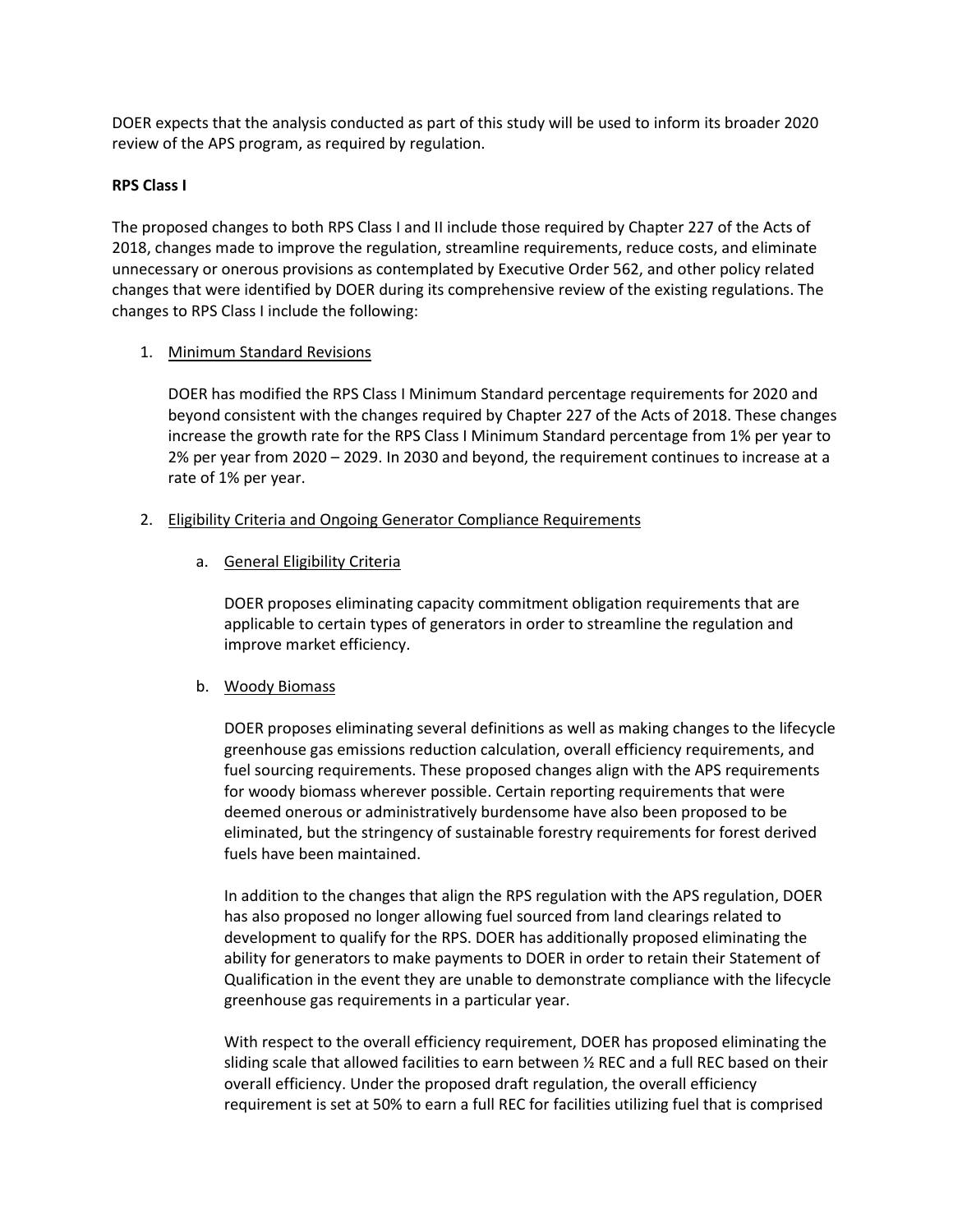DOER expects that the analysis conducted as part of this study will be used to inform its broader 2020 review of the APS program, as required by regulation.

### **RPS Class I**

The proposed changes to both RPS Class I and II include those required by Chapter 227 of the Acts of 2018, changes made to improve the regulation, streamline requirements, reduce costs, and eliminate unnecessary or onerous provisions as contemplated by Executive Order 562, and other policy related changes that were identified by DOER during its comprehensive review of the existing regulations. The changes to RPS Class I include the following:

#### 1. Minimum Standard Revisions

DOER has modified the RPS Class I Minimum Standard percentage requirements for 2020 and beyond consistent with the changes required by Chapter 227 of the Acts of 2018. These changes increase the growth rate for the RPS Class I Minimum Standard percentage from 1% per year to 2% per year from 2020 – 2029. In 2030 and beyond, the requirement continues to increase at a rate of 1% per year.

### 2. Eligibility Criteria and Ongoing Generator Compliance Requirements

### a. General Eligibility Criteria

DOER proposes eliminating capacity commitment obligation requirements that are applicable to certain types of generators in order to streamline the regulation and improve market efficiency.

### b. Woody Biomass

DOER proposes eliminating several definitions as well as making changes to the lifecycle greenhouse gas emissions reduction calculation, overall efficiency requirements, and fuel sourcing requirements. These proposed changes align with the APS requirements for woody biomass wherever possible. Certain reporting requirements that were deemed onerous or administratively burdensome have also been proposed to be eliminated, but the stringency of sustainable forestry requirements for forest derived fuels have been maintained.

In addition to the changes that align the RPS regulation with the APS regulation, DOER has also proposed no longer allowing fuel sourced from land clearings related to development to qualify for the RPS. DOER has additionally proposed eliminating the ability for generators to make payments to DOER in order to retain their Statement of Qualification in the event they are unable to demonstrate compliance with the lifecycle greenhouse gas requirements in a particular year.

With respect to the overall efficiency requirement, DOER has proposed eliminating the sliding scale that allowed facilities to earn between ½ REC and a full REC based on their overall efficiency. Under the proposed draft regulation, the overall efficiency requirement is set at 50% to earn a full REC for facilities utilizing fuel that is comprised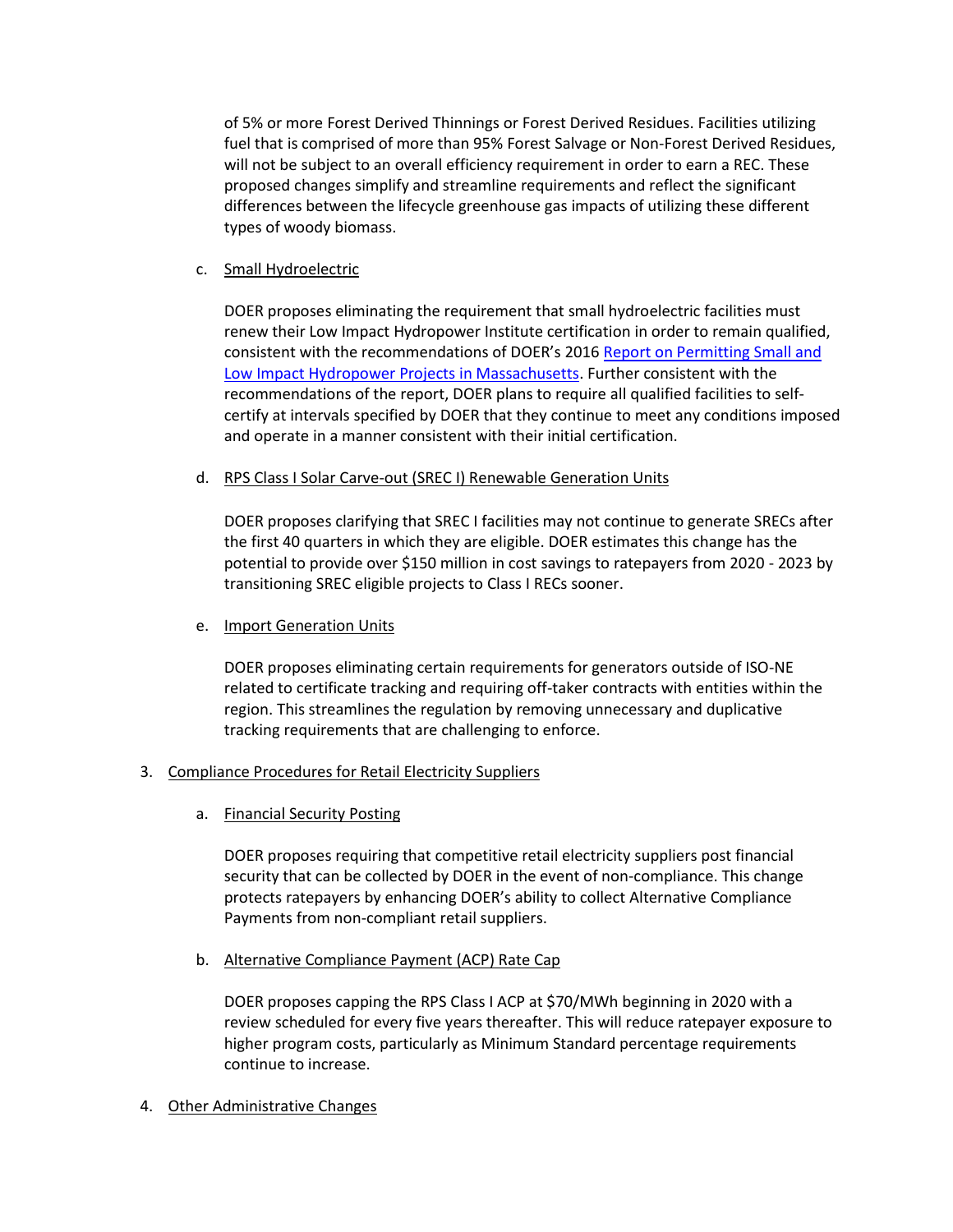of 5% or more Forest Derived Thinnings or Forest Derived Residues. Facilities utilizing fuel that is comprised of more than 95% Forest Salvage or Non-Forest Derived Residues, will not be subject to an overall efficiency requirement in order to earn a REC. These proposed changes simplify and streamline requirements and reflect the significant differences between the lifecycle greenhouse gas impacts of utilizing these different types of woody biomass.

### c. Small Hydroelectric

DOER proposes eliminating the requirement that small hydroelectric facilities must renew their Low Impact Hydropower Institute certification in order to remain qualified, consistent with the recommendations of DOER's 2016 [Report on Permitting Small and](https://www.mass.gov/files/documents/2016/11/xk/reportonpermitting2016-830.pdf)  [Low Impact Hydropower Projects in Massachusetts.](https://www.mass.gov/files/documents/2016/11/xk/reportonpermitting2016-830.pdf) Further consistent with the recommendations of the report, DOER plans to require all qualified facilities to selfcertify at intervals specified by DOER that they continue to meet any conditions imposed and operate in a manner consistent with their initial certification.

#### d. RPS Class I Solar Carve-out (SREC I) Renewable Generation Units

DOER proposes clarifying that SREC I facilities may not continue to generate SRECs after the first 40 quarters in which they are eligible. DOER estimates this change has the potential to provide over \$150 million in cost savings to ratepayers from 2020 - 2023 by transitioning SREC eligible projects to Class I RECs sooner.

### e. Import Generation Units

DOER proposes eliminating certain requirements for generators outside of ISO-NE related to certificate tracking and requiring off-taker contracts with entities within the region. This streamlines the regulation by removing unnecessary and duplicative tracking requirements that are challenging to enforce.

#### 3. Compliance Procedures for Retail Electricity Suppliers

a. Financial Security Posting

DOER proposes requiring that competitive retail electricity suppliers post financial security that can be collected by DOER in the event of non-compliance. This change protects ratepayers by enhancing DOER's ability to collect Alternative Compliance Payments from non-compliant retail suppliers.

b. Alternative Compliance Payment (ACP) Rate Cap

DOER proposes capping the RPS Class I ACP at \$70/MWh beginning in 2020 with a review scheduled for every five years thereafter. This will reduce ratepayer exposure to higher program costs, particularly as Minimum Standard percentage requirements continue to increase.

4. Other Administrative Changes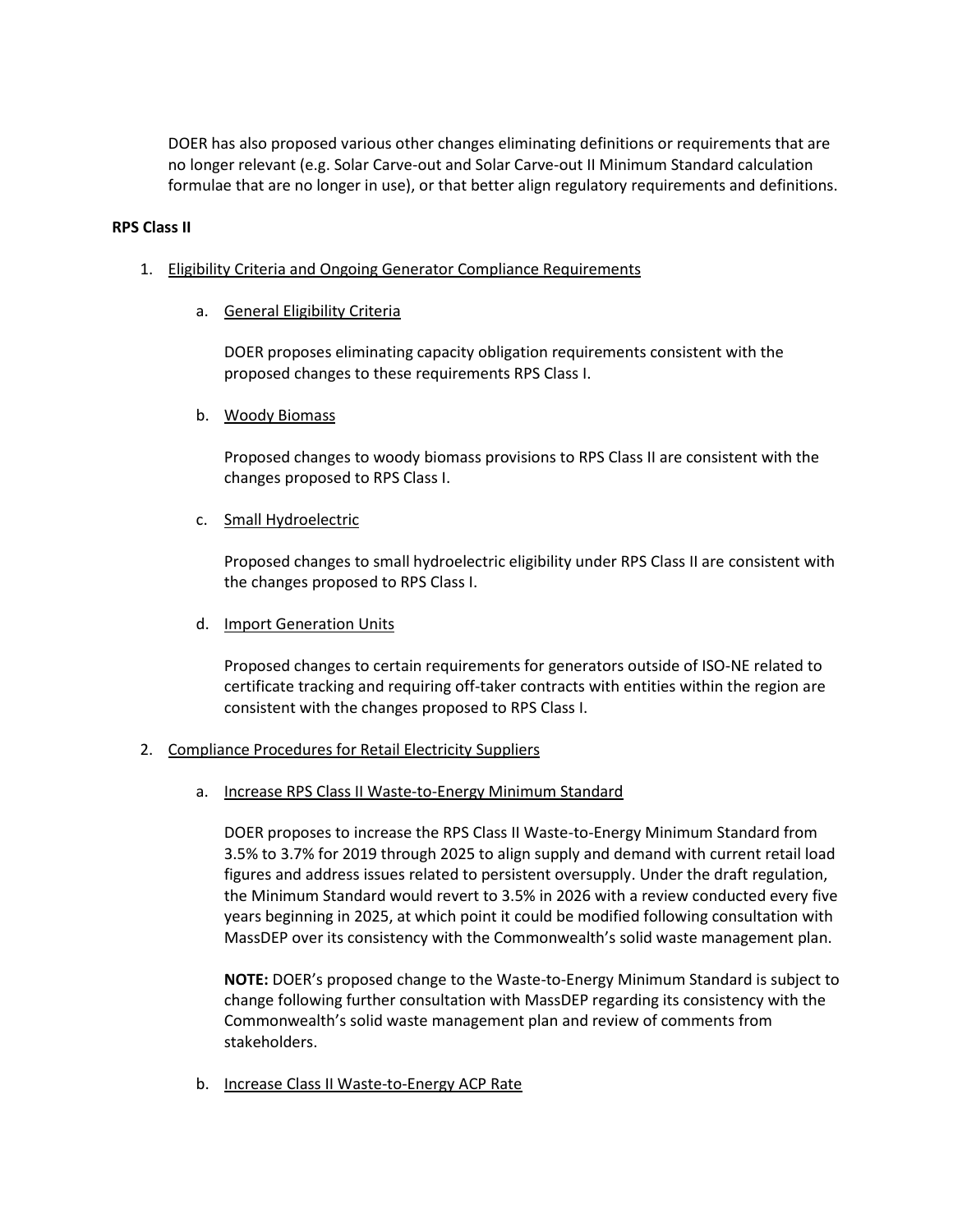DOER has also proposed various other changes eliminating definitions or requirements that are no longer relevant (e.g. Solar Carve-out and Solar Carve-out II Minimum Standard calculation formulae that are no longer in use), or that better align regulatory requirements and definitions.

#### **RPS Class II**

- 1. Eligibility Criteria and Ongoing Generator Compliance Requirements
	- a. General Eligibility Criteria

DOER proposes eliminating capacity obligation requirements consistent with the proposed changes to these requirements RPS Class I.

b. Woody Biomass

Proposed changes to woody biomass provisions to RPS Class II are consistent with the changes proposed to RPS Class I.

c. Small Hydroelectric

Proposed changes to small hydroelectric eligibility under RPS Class II are consistent with the changes proposed to RPS Class I.

d. Import Generation Units

Proposed changes to certain requirements for generators outside of ISO-NE related to certificate tracking and requiring off-taker contracts with entities within the region are consistent with the changes proposed to RPS Class I.

### 2. Compliance Procedures for Retail Electricity Suppliers

a. Increase RPS Class II Waste-to-Energy Minimum Standard

DOER proposes to increase the RPS Class II Waste-to-Energy Minimum Standard from 3.5% to 3.7% for 2019 through 2025 to align supply and demand with current retail load figures and address issues related to persistent oversupply. Under the draft regulation, the Minimum Standard would revert to 3.5% in 2026 with a review conducted every five years beginning in 2025, at which point it could be modified following consultation with MassDEP over its consistency with the Commonwealth's solid waste management plan.

**NOTE:** DOER's proposed change to the Waste-to-Energy Minimum Standard is subject to change following further consultation with MassDEP regarding its consistency with the Commonwealth's solid waste management plan and review of comments from stakeholders.

b. Increase Class II Waste-to-Energy ACP Rate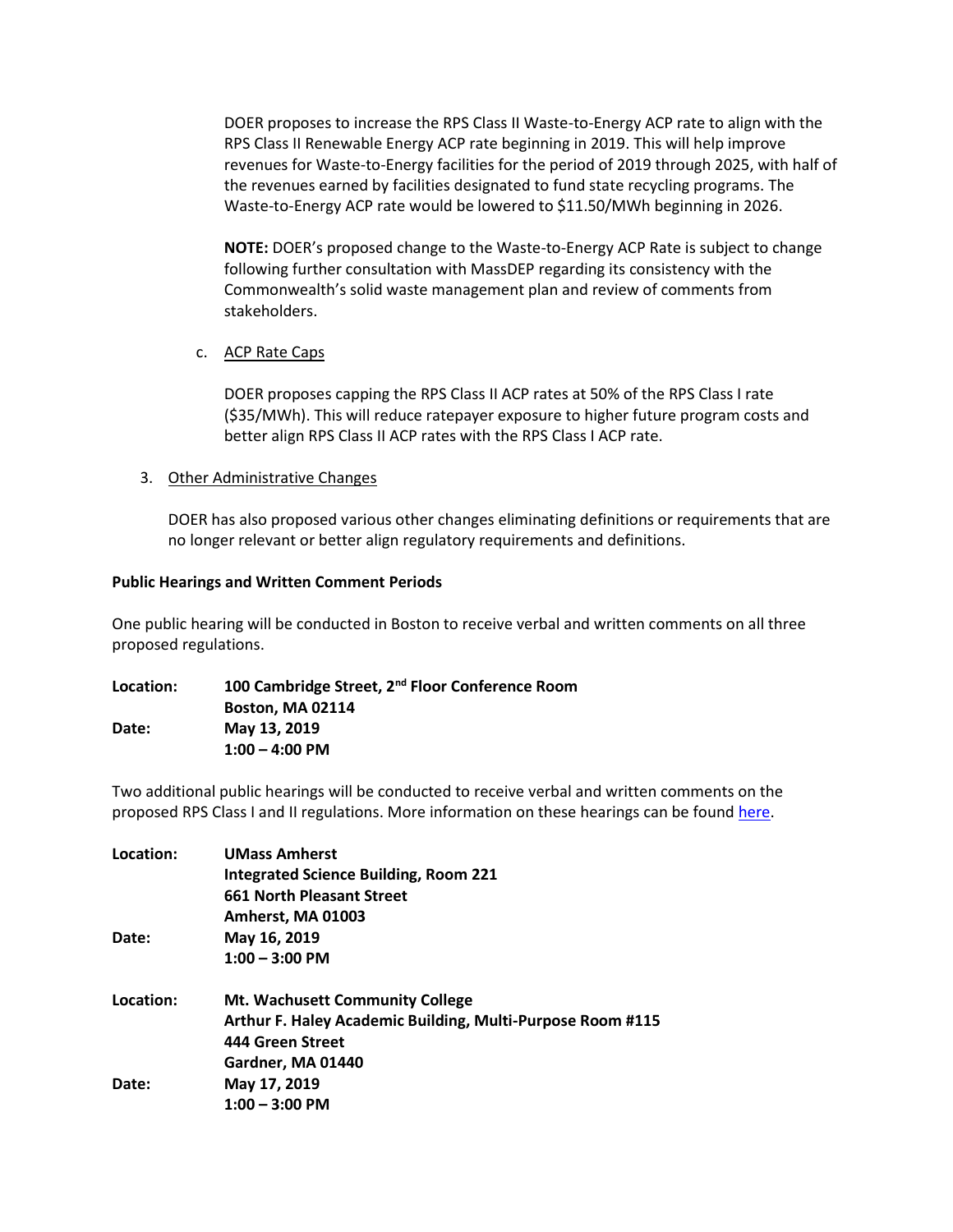DOER proposes to increase the RPS Class II Waste-to-Energy ACP rate to align with the RPS Class II Renewable Energy ACP rate beginning in 2019. This will help improve revenues for Waste-to-Energy facilities for the period of 2019 through 2025, with half of the revenues earned by facilities designated to fund state recycling programs. The Waste-to-Energy ACP rate would be lowered to \$11.50/MWh beginning in 2026.

**NOTE:** DOER's proposed change to the Waste-to-Energy ACP Rate is subject to change following further consultation with MassDEP regarding its consistency with the Commonwealth's solid waste management plan and review of comments from stakeholders.

c. ACP Rate Caps

DOER proposes capping the RPS Class II ACP rates at 50% of the RPS Class I rate (\$35/MWh). This will reduce ratepayer exposure to higher future program costs and better align RPS Class II ACP rates with the RPS Class I ACP rate.

3. Other Administrative Changes

DOER has also proposed various other changes eliminating definitions or requirements that are no longer relevant or better align regulatory requirements and definitions.

## **Public Hearings and Written Comment Periods**

One public hearing will be conducted in Boston to receive verbal and written comments on all three proposed regulations.

| Location: | 100 Cambridge Street, 2 <sup>nd</sup> Floor Conference Room |
|-----------|-------------------------------------------------------------|
|           | <b>Boston, MA 02114</b>                                     |
| Date:     | May 13, 2019                                                |
|           | $1:00 - 4:00$ PM                                            |

Two additional public hearings will be conducted to receive verbal and written comments on the proposed RPS Class I and II regulations. More information on these hearings can be found [here.](https://www.mass.gov/service-details/rps-class-i-ii-rulemaking)

| Location: | <b>UMass Amherst</b>                                       |
|-----------|------------------------------------------------------------|
|           | <b>Integrated Science Building, Room 221</b>               |
|           | 661 North Pleasant Street                                  |
|           | Amherst, MA 01003                                          |
| Date:     | May 16, 2019                                               |
|           | $1:00 - 3:00$ PM                                           |
| Location: | <b>Mt. Wachusett Community College</b>                     |
|           | Arthur F. Haley Academic Building, Multi-Purpose Room #115 |
|           | 444 Green Street                                           |
|           | Gardner, MA 01440                                          |
| Date:     | May 17, 2019                                               |
|           | $1:00 - 3:00$ PM                                           |